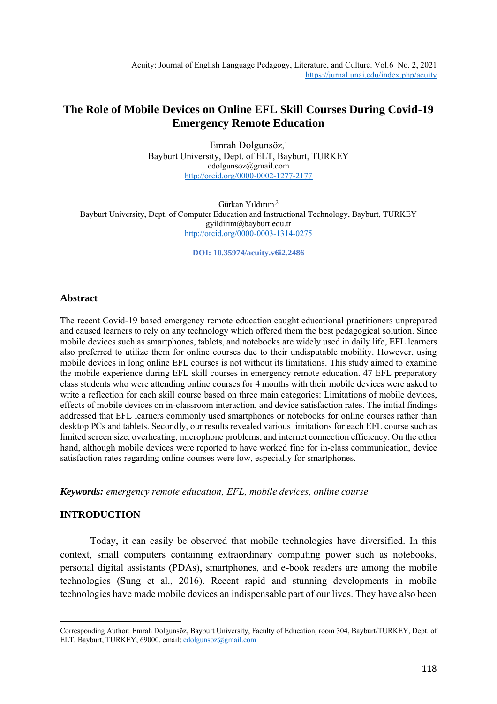# **The Role of Mobile Devices on Online EFL Skill Courses During Covid-19 Emergency Remote Education**

Emrah Dolgunsöz, 1 Bayburt University, Dept. of ELT, Bayburt, TURKEY edolgunsoz@gmail.com <http://orcid.org/0000-0002-1277-2177>

Gürkan Yıldırım,2 Bayburt University, Dept. of Computer Education and Instructional Technology, Bayburt, TURKEY gyildirim@bayburt.edu.tr <http://orcid.org/0000-0003-1314-0275>

**DOI: 10.35974/acuity.v6i2.2486**

# **Abstract**

The recent Covid-19 based emergency remote education caught educational practitioners unprepared and caused learners to rely on any technology which offered them the best pedagogical solution. Since mobile devices such as smartphones, tablets, and notebooks are widely used in daily life, EFL learners also preferred to utilize them for online courses due to their undisputable mobility. However, using mobile devices in long online EFL courses is not without its limitations. This study aimed to examine the mobile experience during EFL skill courses in emergency remote education. 47 EFL preparatory class students who were attending online courses for 4 months with their mobile devices were asked to write a reflection for each skill course based on three main categories: Limitations of mobile devices, effects of mobile devices on in-classroom interaction, and device satisfaction rates. The initial findings addressed that EFL learners commonly used smartphones or notebooks for online courses rather than desktop PCs and tablets. Secondly, our results revealed various limitations for each EFL course such as limited screen size, overheating, microphone problems, and internet connection efficiency. On the other hand, although mobile devices were reported to have worked fine for in-class communication, device satisfaction rates regarding online courses were low, especially for smartphones.

*Keywords: emergency remote education, EFL, mobile devices, online course*

# **INTRODUCTION**

Today, it can easily be observed that mobile technologies have diversified. In this context, small computers containing extraordinary computing power such as notebooks, personal digital assistants (PDAs), smartphones, and e-book readers are among the mobile technologies (Sung et al., 2016). Recent rapid and stunning developments in mobile technologies have made mobile devices an indispensable part of our lives. They have also been

Corresponding Author: Emrah Dolgunsöz, Bayburt University, Faculty of Education, room 304, Bayburt/TURKEY, Dept. of ELT, Bayburt, TURKEY, 69000. email: [edolgunsoz@gmail.com](mailto:edolgunsoz@gmail.com)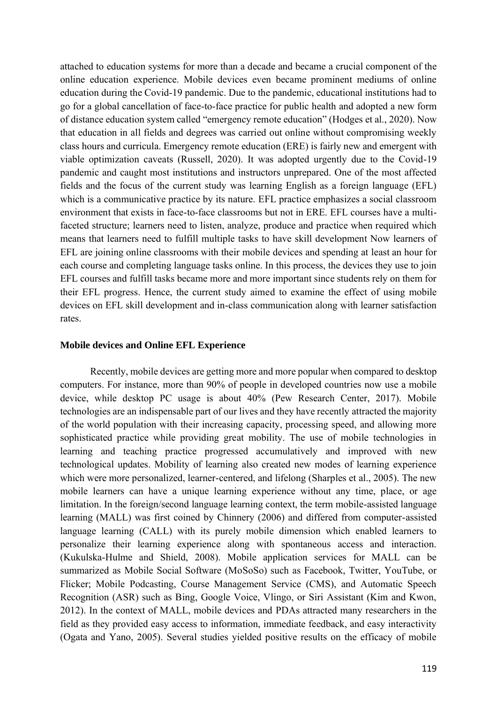attached to education systems for more than a decade and became a crucial component of the online education experience. Mobile devices even became prominent mediums of online education during the Covid-19 pandemic. Due to the pandemic, educational institutions had to go for a global cancellation of face-to-face practice for public health and adopted a new form of distance education system called "emergency remote education" (Hodges et al., 2020). Now that education in all fields and degrees was carried out online without compromising weekly class hours and curricula. Emergency remote education (ERE) is fairly new and emergent with viable optimization caveats (Russell, 2020). It was adopted urgently due to the Covid-19 pandemic and caught most institutions and instructors unprepared. One of the most affected fields and the focus of the current study was learning English as a foreign language (EFL) which is a communicative practice by its nature. EFL practice emphasizes a social classroom environment that exists in face-to-face classrooms but not in ERE. EFL courses have a multifaceted structure; learners need to listen, analyze, produce and practice when required which means that learners need to fulfill multiple tasks to have skill development Now learners of EFL are joining online classrooms with their mobile devices and spending at least an hour for each course and completing language tasks online. In this process, the devices they use to join EFL courses and fulfill tasks became more and more important since students rely on them for their EFL progress. Hence, the current study aimed to examine the effect of using mobile devices on EFL skill development and in-class communication along with learner satisfaction rates.

## **Mobile devices and Online EFL Experience**

Recently, mobile devices are getting more and more popular when compared to desktop computers. For instance, more than 90% of people in developed countries now use a mobile device, while desktop PC usage is about 40% (Pew Research Center, 2017). Mobile technologies are an indispensable part of our lives and they have recently attracted the majority of the world population with their increasing capacity, processing speed, and allowing more sophisticated practice while providing great mobility. The use of mobile technologies in learning and teaching practice progressed accumulatively and improved with new technological updates. Mobility of learning also created new modes of learning experience which were more personalized, learner-centered, and lifelong (Sharples et al., 2005). The new mobile learners can have a unique learning experience without any time, place, or age limitation. In the foreign/second language learning context, the term mobile-assisted language learning (MALL) was first coined by Chinnery (2006) and differed from computer-assisted language learning (CALL) with its purely mobile dimension which enabled learners to personalize their learning experience along with spontaneous access and interaction. (Kukulska-Hulme and Shield, 2008). Mobile application services for MALL can be summarized as Mobile Social Software (MoSoSo) such as Facebook, Twitter, YouTube, or Flicker; Mobile Podcasting, Course Management Service (CMS), and Automatic Speech Recognition (ASR) such as Bing, Google Voice, Vlingo, or Siri Assistant (Kim and Kwon, 2012). In the context of MALL, mobile devices and PDAs attracted many researchers in the field as they provided easy access to information, immediate feedback, and easy interactivity (Ogata and Yano, 2005). Several studies yielded positive results on the efficacy of mobile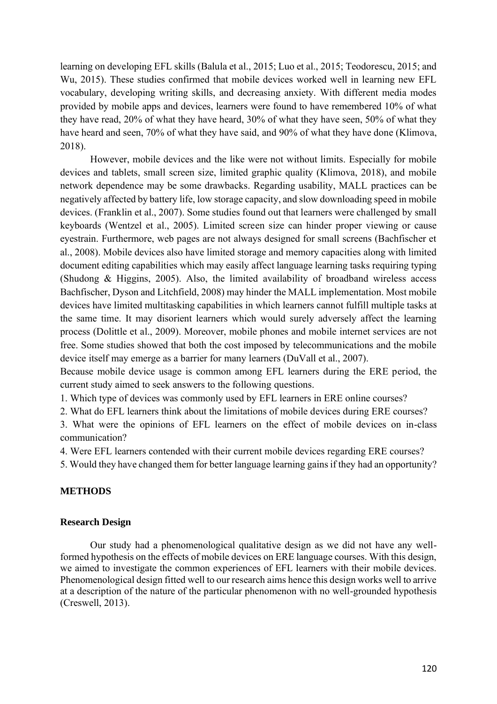learning on developing EFL skills (Balula et al., 2015; Luo et al., 2015; Teodorescu, 2015; and Wu, 2015). These studies confirmed that mobile devices worked well in learning new EFL vocabulary, developing writing skills, and decreasing anxiety. With different media modes provided by mobile apps and devices, learners were found to have remembered 10% of what they have read, 20% of what they have heard, 30% of what they have seen, 50% of what they have heard and seen, 70% of what they have said, and 90% of what they have done (Klimova, 2018).

However, mobile devices and the like were not without limits. Especially for mobile devices and tablets, small screen size, limited graphic quality (Klimova, 2018), and mobile network dependence may be some drawbacks. Regarding usability, MALL practices can be negatively affected by battery life, low storage capacity, and slow downloading speed in mobile devices. (Franklin et al., 2007). Some studies found out that learners were challenged by small keyboards (Wentzel et al., 2005). Limited screen size can hinder proper viewing or cause eyestrain. Furthermore, web pages are not always designed for small screens (Bachfischer et al., 2008). Mobile devices also have limited storage and memory capacities along with limited document editing capabilities which may easily affect language learning tasks requiring typing (Shudong & Higgins, 2005). Also, the limited availability of broadband wireless access Bachfischer, Dyson and Litchfield, 2008) may hinder the MALL implementation. Most mobile devices have limited multitasking capabilities in which learners cannot fulfill multiple tasks at the same time. It may disorient learners which would surely adversely affect the learning process (Dolittle et al., 2009). Moreover, mobile phones and mobile internet services are not free. Some studies showed that both the cost imposed by telecommunications and the mobile device itself may emerge as a barrier for many learners (DuVall et al., 2007).

Because mobile device usage is common among EFL learners during the ERE period, the current study aimed to seek answers to the following questions.

1. Which type of devices was commonly used by EFL learners in ERE online courses?

2. What do EFL learners think about the limitations of mobile devices during ERE courses?

3. What were the opinions of EFL learners on the effect of mobile devices on in-class communication?

4. Were EFL learners contended with their current mobile devices regarding ERE courses?

5. Would they have changed them for better language learning gains if they had an opportunity?

# **METHODS**

## **Research Design**

Our study had a phenomenological qualitative design as we did not have any wellformed hypothesis on the effects of mobile devices on ERE language courses. With this design, we aimed to investigate the common experiences of EFL learners with their mobile devices. Phenomenological design fitted well to our research aims hence this design works well to arrive at a description of the nature of the particular phenomenon with no well-grounded hypothesis (Creswell, 2013).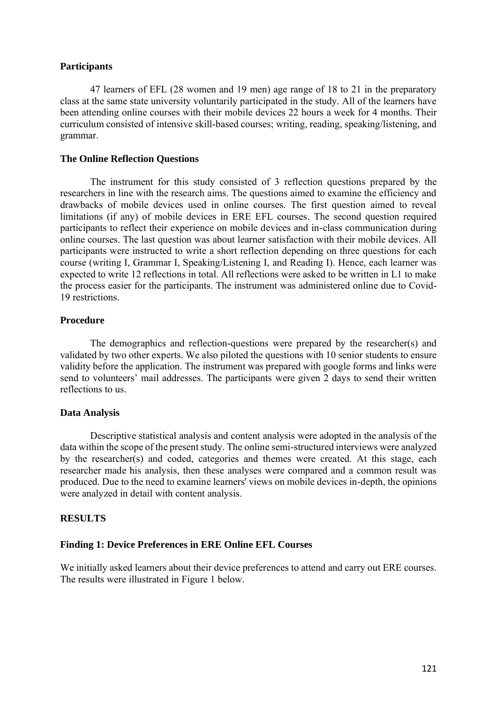# **Participants**

47 learners of EFL (28 women and 19 men) age range of 18 to 21 in the preparatory class at the same state university voluntarily participated in the study. All of the learners have been attending online courses with their mobile devices 22 hours a week for 4 months. Their curriculum consisted of intensive skill-based courses; writing, reading, speaking/listening, and grammar.

## **The Online Reflection Questions**

The instrument for this study consisted of 3 reflection questions prepared by the researchers in line with the research aims. The questions aimed to examine the efficiency and drawbacks of mobile devices used in online courses. The first question aimed to reveal limitations (if any) of mobile devices in ERE EFL courses. The second question required participants to reflect their experience on mobile devices and in-class communication during online courses. The last question was about learner satisfaction with their mobile devices. All participants were instructed to write a short reflection depending on three questions for each course (writing I, Grammar I, Speaking/Listening I, and Reading I). Hence, each learner was expected to write 12 reflections in total. All reflections were asked to be written in L1 to make the process easier for the participants. The instrument was administered online due to Covid-19 restrictions.

# **Procedure**

The demographics and reflection-questions were prepared by the researcher(s) and validated by two other experts. We also piloted the questions with 10 senior students to ensure validity before the application. The instrument was prepared with google forms and links were send to volunteers' mail addresses. The participants were given 2 days to send their written reflections to us.

## **Data Analysis**

Descriptive statistical analysis and content analysis were adopted in the analysis of the data within the scope of the present study. The online semi-structured interviews were analyzed by the researcher(s) and coded, categories and themes were created. At this stage, each researcher made his analysis, then these analyses were compared and a common result was produced. Due to the need to examine learners' views on mobile devices in-depth, the opinions were analyzed in detail with content analysis.

## **RESULTS**

# **Finding 1: Device Preferences in ERE Online EFL Courses**

We initially asked learners about their device preferences to attend and carry out ERE courses. The results were illustrated in Figure 1 below.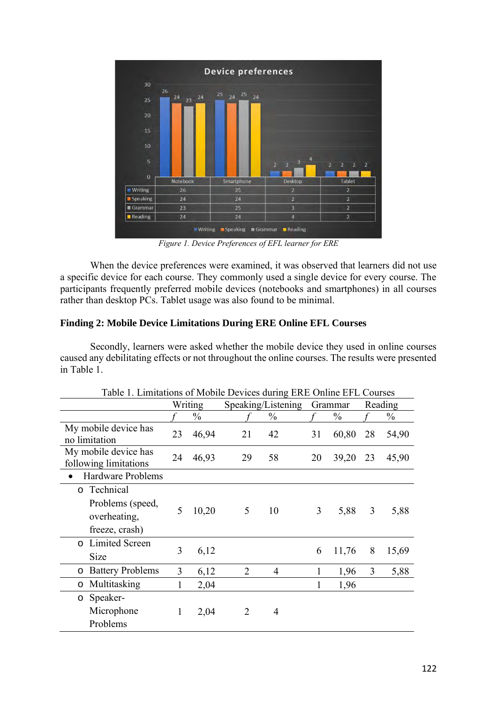

*Figure 1. Device Preferences of EFL learner for ERE*

When the device preferences were examined, it was observed that learners did not use a specific device for each course. They commonly used a single device for every course. The participants frequently preferred mobile devices (notebooks and smartphones) in all courses rather than desktop PCs. Tablet usage was also found to be minimal.

# **Finding 2: Mobile Device Limitations During ERE Online EFL Courses**

Secondly, learners were asked whether the mobile device they used in online courses caused any debilitating effects or not throughout the online courses. The results were presented in Table 1.

| Table T. Limitations of Mobile Devices during ERE Online EFL Courses       |    |               |                    |                |    |               |    |       |  |  |
|----------------------------------------------------------------------------|----|---------------|--------------------|----------------|----|---------------|----|-------|--|--|
|                                                                            |    | Writing       | Speaking/Listening | Grammar        |    | Reading       |    |       |  |  |
|                                                                            |    | $\frac{0}{0}$ |                    | $\frac{0}{0}$  |    | $\frac{0}{0}$ |    | $\%$  |  |  |
| My mobile device has<br>no limitation                                      | 23 | 46,94         | 21                 | 42             | 31 | 60,80         | 28 | 54,90 |  |  |
| My mobile device has<br>following limitations                              | 24 | 46,93         | 29                 | 58             | 20 | 39,20         | 23 | 45,90 |  |  |
| <b>Hardware Problems</b>                                                   |    |               |                    |                |    |               |    |       |  |  |
| Technical<br>$\circ$<br>Problems (speed,<br>overheating,<br>freeze, crash) | 5  | 10,20         | 5                  | 10             | 3  | 5,88          | 3  | 5,88  |  |  |
| Limited Screen<br>$\circ$<br><b>Size</b>                                   | 3  | 6,12          |                    |                | 6  | 11,76         | 8  | 15,69 |  |  |
| <b>Battery Problems</b><br>$\circ$                                         | 3  | 6,12          | $\overline{2}$     | $\overline{4}$ | 1  | 1,96          | 3  | 5,88  |  |  |
| Multitasking<br>O                                                          | 1  | 2,04          |                    |                |    | 1,96          |    |       |  |  |
| Speaker-<br>$\circ$<br>Microphone<br>Problems                              | 1  | 2,04          | 2                  | 4              |    |               |    |       |  |  |

Table 1. Limitations of Mobile Devices during ERE Online EFL Courses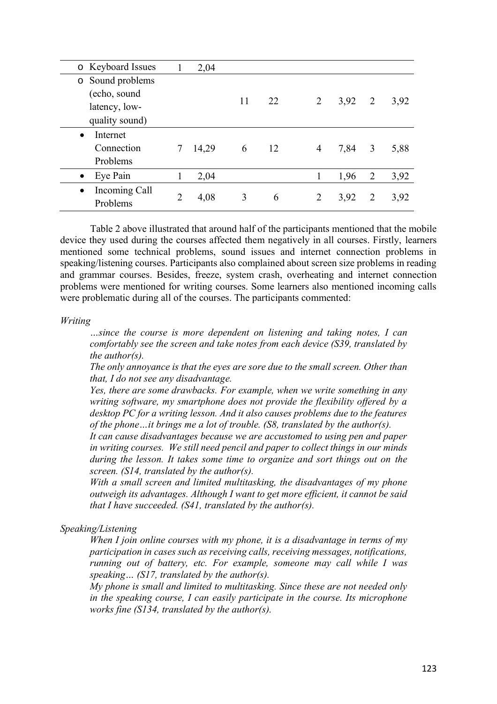| o Keyboard Issues          |   | 2,04  |    |    |                |        |                |      |
|----------------------------|---|-------|----|----|----------------|--------|----------------|------|
| Sound problems<br>$\circ$  |   |       |    |    |                |        |                |      |
| (echo, sound               |   |       |    |    |                |        |                |      |
| latency, low-              |   |       | 11 | 22 | $\overline{2}$ | 3,92   | 2              | 3,92 |
| quality sound)             |   |       |    |    |                |        |                |      |
| Internet<br>$\bullet$      |   |       |    |    |                |        |                |      |
| Connection                 |   | 14,29 | 6  | 12 | $\overline{4}$ | 7,84 3 |                | 5,88 |
| Problems                   |   |       |    |    |                |        |                |      |
| Eye Pain<br>$\bullet$      |   | 2,04  |    |    | 1              | 1,96   | $\overline{2}$ | 3,92 |
| Incoming Call<br>$\bullet$ |   |       |    |    |                |        | 2              |      |
| Problems                   | 2 | 4,08  | 3  | 6  | 2              | 3,92   |                | 3,92 |

Table 2 above illustrated that around half of the participants mentioned that the mobile device they used during the courses affected them negatively in all courses. Firstly, learners mentioned some technical problems, sound issues and internet connection problems in speaking/listening courses. Participants also complained about screen size problems in reading and grammar courses. Besides, freeze, system crash, overheating and internet connection problems were mentioned for writing courses. Some learners also mentioned incoming calls were problematic during all of the courses. The participants commented:

## *Writing*

*…since the course is more dependent on listening and taking notes, I can comfortably see the screen and take notes from each device (S39, translated by the author(s).*

*The only annoyance is that the eyes are sore due to the small screen. Other than that, I do not see any disadvantage.*

*Yes, there are some drawbacks. For example, when we write something in any writing software, my smartphone does not provide the flexibility offered by a desktop PC for a writing lesson. And it also causes problems due to the features of the phone…it brings me a lot of trouble. (S8, translated by the author(s).*

*It can cause disadvantages because we are accustomed to using pen and paper in writing courses. We still need pencil and paper to collect things in our minds during the lesson. It takes some time to organize and sort things out on the screen. (S14, translated by the author(s).*

*With a small screen and limited multitasking, the disadvantages of my phone outweigh its advantages. Although I want to get more efficient, it cannot be said that I have succeeded. (S41, translated by the author(s).*

## *Speaking/Listening*

*When I join online courses with my phone, it is a disadvantage in terms of my participation in cases such as receiving calls, receiving messages, notifications, running out of battery, etc. For example, someone may call while I was speaking… (S17, translated by the author(s).*

*My phone is small and limited to multitasking. Since these are not needed only in the speaking course, I can easily participate in the course. Its microphone works fine (S134, translated by the author(s).*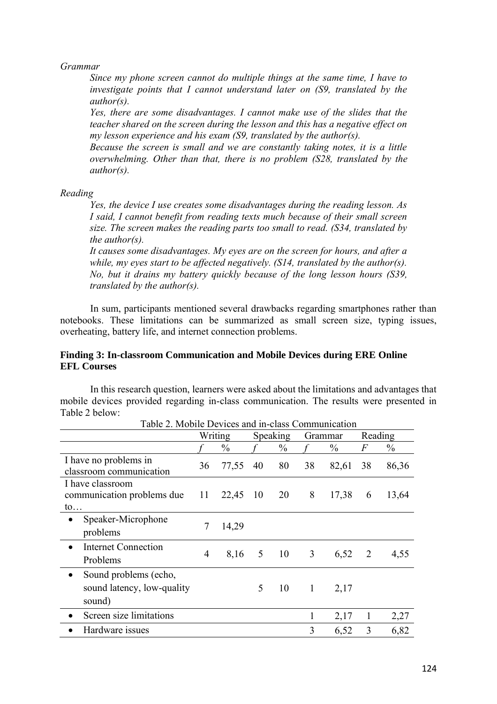# *Grammar*

*Since my phone screen cannot do multiple things at the same time, I have to investigate points that I cannot understand later on (S9, translated by the author(s).*

*Yes, there are some disadvantages. I cannot make use of the slides that the teacher shared on the screen during the lesson and this has a negative effect on my lesson experience and his exam (S9, translated by the author(s).*

*Because the screen is small and we are constantly taking notes, it is a little overwhelming. Other than that, there is no problem (S28, translated by the author(s).*

## *Reading*

*Yes, the device I use creates some disadvantages during the reading lesson. As I said, I cannot benefit from reading texts much because of their small screen size. The screen makes the reading parts too small to read. (S34, translated by the author(s).*

*It causes some disadvantages. My eyes are on the screen for hours, and after a while, my eyes start to be affected negatively. (S14, translated by the author(s). No, but it drains my battery quickly because of the long lesson hours (S39, translated by the author(s).*

In sum, participants mentioned several drawbacks regarding smartphones rather than notebooks. These limitations can be summarized as small screen size, typing issues, overheating, battery life, and internet connection problems.

## **Finding 3: In-classroom Communication and Mobile Devices during ERE Online EFL Courses**

In this research question, learners were asked about the limitations and advantages that mobile devices provided regarding in-class communication. The results were presented in Table 2 below:

| Table 2. Mobile Devices and in-class Communication                         |         |               |                 |               |              |               |              |               |
|----------------------------------------------------------------------------|---------|---------------|-----------------|---------------|--------------|---------------|--------------|---------------|
|                                                                            | Writing |               | <b>Speaking</b> |               | Grammar      |               | Reading      |               |
|                                                                            |         | $\frac{0}{0}$ |                 | $\frac{0}{0}$ |              | $\frac{0}{0}$ | F            | $\frac{0}{0}$ |
| I have no problems in<br>classroom communication                           | 36      | 77,55         | 40              | 80            | 38           | 82,61         | 38           | 86,36         |
| I have classroom<br>communication problems due<br>$\mathfrak{to}$          | 11      | 22,45 10 20   |                 |               | 8            | 17,38         | 6            | 13,64         |
| Speaker-Microphone<br>$\bullet$<br>problems                                |         | 14,29         |                 |               |              |               |              |               |
| <b>Internet Connection</b><br>$\bullet$<br>Problems                        | 4       | 8,16          | 5 <sup>5</sup>  | 10            | 3            | 6,52          | 2            | 4,55          |
| Sound problems (echo,<br>$\bullet$<br>sound latency, low-quality<br>sound) |         |               | 5               | 10            | $\mathbf{1}$ | 2,17          |              |               |
| Screen size limitations<br>$\bullet$                                       |         |               |                 |               |              | 2,17          | $\mathbf{1}$ | 2,27          |
| Hardware issues                                                            |         |               |                 |               | 3            | 6,52          | 3            | 6,82          |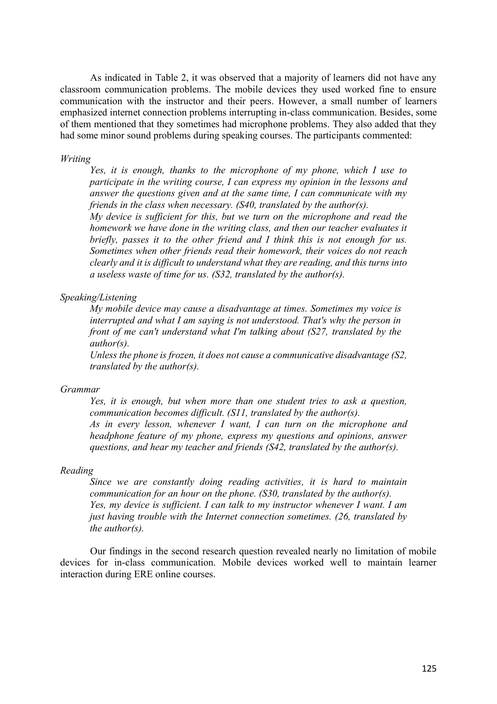As indicated in Table 2, it was observed that a majority of learners did not have any classroom communication problems. The mobile devices they used worked fine to ensure communication with the instructor and their peers. However, a small number of learners emphasized internet connection problems interrupting in-class communication. Besides, some of them mentioned that they sometimes had microphone problems. They also added that they had some minor sound problems during speaking courses. The participants commented:

## *Writing*

*Yes, it is enough, thanks to the microphone of my phone, which I use to participate in the writing course, I can express my opinion in the lessons and answer the questions given and at the same time, I can communicate with my friends in the class when necessary. (S40, translated by the author(s).*

*My device is sufficient for this, but we turn on the microphone and read the homework we have done in the writing class, and then our teacher evaluates it briefly, passes it to the other friend and I think this is not enough for us. Sometimes when other friends read their homework, their voices do not reach clearly and it is difficult to understand what they are reading, and this turns into a useless waste of time for us. (S32, translated by the author(s).*

## *Speaking/Listening*

*My mobile device may cause a disadvantage at times. Sometimes my voice is interrupted and what I am saying is not understood. That's why the person in front of me can't understand what I'm talking about (S27, translated by the author(s).*

*Unless the phone is frozen, it does not cause a communicative disadvantage (S2, translated by the author(s).*

## *Grammar*

*Yes, it is enough, but when more than one student tries to ask a question, communication becomes difficult. (S11, translated by the author(s). As in every lesson, whenever I want, I can turn on the microphone and headphone feature of my phone, express my questions and opinions, answer* 

*questions, and hear my teacher and friends (S42, translated by the author(s).*

# *Reading*

*Since we are constantly doing reading activities, it is hard to maintain communication for an hour on the phone. (S30, translated by the author(s). Yes, my device is sufficient. I can talk to my instructor whenever I want. I am just having trouble with the Internet connection sometimes. (26, translated by the author(s).*

Our findings in the second research question revealed nearly no limitation of mobile devices for in-class communication. Mobile devices worked well to maintain learner interaction during ERE online courses.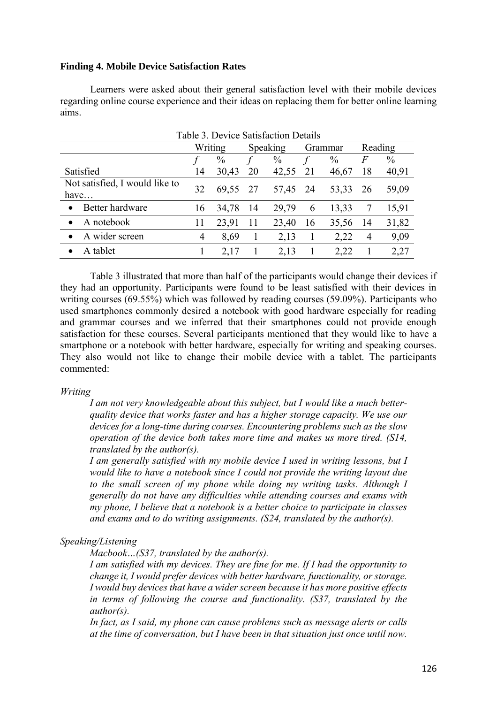# **Finding 4. Mobile Device Satisfaction Rates**

Learners were asked about their general satisfaction level with their mobile devices regarding online course experience and their ideas on replacing them for better online learning aims.

| Tuble 5. Device Buttonetton Details    |         |               |          |          |         |       |         |       |
|----------------------------------------|---------|---------------|----------|----------|---------|-------|---------|-------|
|                                        | Writing |               | Speaking |          | Grammar |       | Reading |       |
|                                        |         | $\frac{0}{0}$ |          | $\%$     |         | $\%$  | F       | $\%$  |
| Satisfied                              | 14      | 30,43         | 20       | 42,55    | 21      | 46,67 | 18      | 40,91 |
| Not satisfied, I would like to<br>have | 32      | 69,55 27      |          | 57,45 24 |         | 53,33 | 26      | 59,09 |
| Better hardware                        | 16      | 34,78         | -14      | 29,79    | 6       | 13,33 |         | 15,91 |
| A notebook                             | 11      | 23,91         | 11       | 23,40    | 16      | 35,56 | 14      | 31,82 |
| A wider screen                         | 4       | 8,69          |          | 2,13     |         | 2,22  | 4       | 9,09  |
| A tablet                               |         | 2,17          |          | 2,13     |         | 2,22  |         | 2,27  |

Table 3. Device Satisfaction Details

Table 3 illustrated that more than half of the participants would change their devices if they had an opportunity. Participants were found to be least satisfied with their devices in writing courses (69.55%) which was followed by reading courses (59.09%). Participants who used smartphones commonly desired a notebook with good hardware especially for reading and grammar courses and we inferred that their smartphones could not provide enough satisfaction for these courses. Several participants mentioned that they would like to have a smartphone or a notebook with better hardware, especially for writing and speaking courses. They also would not like to change their mobile device with a tablet. The participants commented:

## *Writing*

*I am not very knowledgeable about this subject, but I would like a much betterquality device that works faster and has a higher storage capacity. We use our devices for a long-time during courses. Encountering problems such as the slow operation of the device both takes more time and makes us more tired. (S14, translated by the author(s).*

*I am generally satisfied with my mobile device I used in writing lessons, but I would like to have a notebook since I could not provide the writing layout due to the small screen of my phone while doing my writing tasks. Although I generally do not have any difficulties while attending courses and exams with my phone, I believe that a notebook is a better choice to participate in classes and exams and to do writing assignments. (S24, translated by the author(s).*

# *Speaking/Listening*

*Macbook…(S37, translated by the author(s).*

*I am satisfied with my devices. They are fine for me. If I had the opportunity to change it, I would prefer devices with better hardware, functionality, or storage. I would buy devices that have a wider screen because it has more positive effects in terms of following the course and functionality. (S37, translated by the author(s).*

*In fact, as I said, my phone can cause problems such as message alerts or calls at the time of conversation, but I have been in that situation just once until now.*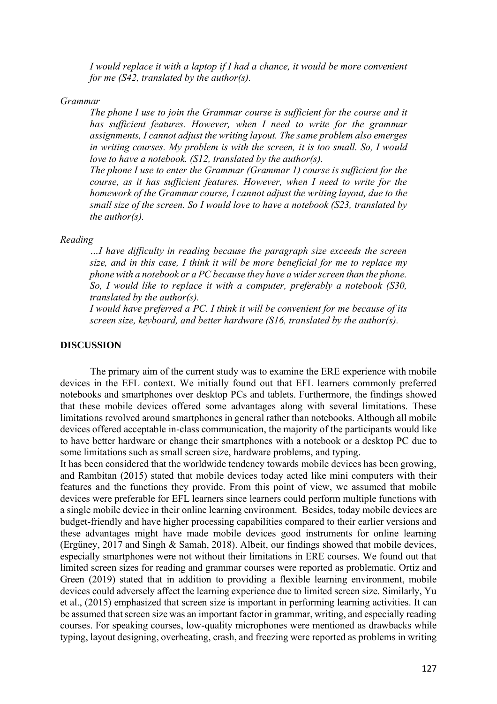*I* would replace it with a laptop if *I* had a chance, it would be more convenient *for me (S42, translated by the author(s).*

#### *Grammar*

*The phone I use to join the Grammar course is sufficient for the course and it has sufficient features. However, when I need to write for the grammar assignments, I cannot adjust the writing layout. The same problem also emerges in writing courses. My problem is with the screen, it is too small. So, I would love to have a notebook. (S12, translated by the author(s).*

*The phone I use to enter the Grammar (Grammar 1) course is sufficient for the course, as it has sufficient features. However, when I need to write for the homework of the Grammar course, I cannot adjust the writing layout, due to the small size of the screen. So I would love to have a notebook (S23, translated by the author(s).*

#### *Reading*

*…I have difficulty in reading because the paragraph size exceeds the screen size, and in this case, I think it will be more beneficial for me to replace my phone with a notebook or a PC because they have a wider screen than the phone. So, I would like to replace it with a computer, preferably a notebook (S30, translated by the author(s).*

*I would have preferred a PC. I think it will be convenient for me because of its screen size, keyboard, and better hardware (S16, translated by the author(s).*

## **DISCUSSION**

The primary aim of the current study was to examine the ERE experience with mobile devices in the EFL context. We initially found out that EFL learners commonly preferred notebooks and smartphones over desktop PCs and tablets. Furthermore, the findings showed that these mobile devices offered some advantages along with several limitations. These limitations revolved around smartphones in general rather than notebooks. Although all mobile devices offered acceptable in-class communication, the majority of the participants would like to have better hardware or change their smartphones with a notebook or a desktop PC due to some limitations such as small screen size, hardware problems, and typing.

It has been considered that the worldwide tendency towards mobile devices has been growing, and Rambitan (2015) stated that mobile devices today acted like mini computers with their features and the functions they provide. From this point of view, we assumed that mobile devices were preferable for EFL learners since learners could perform multiple functions with a single mobile device in their online learning environment. Besides, today mobile devices are budget-friendly and have higher processing capabilities compared to their earlier versions and these advantages might have made mobile devices good instruments for online learning (Ergüney, 2017 and Singh & Samah, 2018). Albeit, our findings showed that mobile devices, especially smartphones were not without their limitations in ERE courses. We found out that limited screen sizes for reading and grammar courses were reported as problematic. Ortiz and Green (2019) stated that in addition to providing a flexible learning environment, mobile devices could adversely affect the learning experience due to limited screen size. Similarly, Yu et al., (2015) emphasized that screen size is important in performing learning activities. It can be assumed that screen size was an important factor in grammar, writing, and especially reading courses. For speaking courses, low-quality microphones were mentioned as drawbacks while typing, layout designing, overheating, crash, and freezing were reported as problems in writing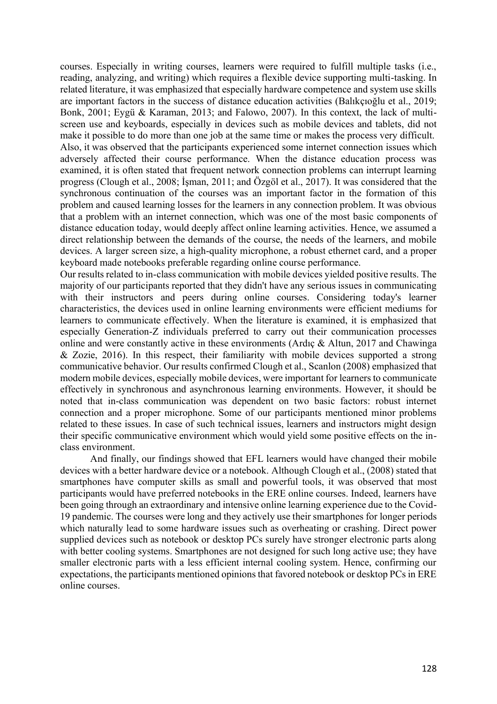courses. Especially in writing courses, learners were required to fulfill multiple tasks (i.e., reading, analyzing, and writing) which requires a flexible device supporting multi-tasking. In related literature, it was emphasized that especially hardware competence and system use skills are important factors in the success of distance education activities (Balıkçıoğlu et al., 2019; Bonk, 2001; Eygü & Karaman, 2013; and Falowo, 2007). In this context, the lack of multiscreen use and keyboards, especially in devices such as mobile devices and tablets, did not make it possible to do more than one job at the same time or makes the process very difficult. Also, it was observed that the participants experienced some internet connection issues which adversely affected their course performance. When the distance education process was examined, it is often stated that frequent network connection problems can interrupt learning progress (Clough et al., 2008; İşman, 2011; and Özgöl et al., 2017). It was considered that the synchronous continuation of the courses was an important factor in the formation of this problem and caused learning losses for the learners in any connection problem. It was obvious that a problem with an internet connection, which was one of the most basic components of distance education today, would deeply affect online learning activities. Hence, we assumed a direct relationship between the demands of the course, the needs of the learners, and mobile devices. A larger screen size, a high-quality microphone, a robust ethernet card, and a proper keyboard made notebooks preferable regarding online course performance.

Our results related to in-class communication with mobile devices yielded positive results. The majority of our participants reported that they didn't have any serious issues in communicating with their instructors and peers during online courses. Considering today's learner characteristics, the devices used in online learning environments were efficient mediums for learners to communicate effectively. When the literature is examined, it is emphasized that especially Generation-Z individuals preferred to carry out their communication processes online and were constantly active in these environments (Ardıç & Altun, 2017 and Chawinga & Zozie, 2016). In this respect, their familiarity with mobile devices supported a strong communicative behavior. Our results confirmed Clough et al., Scanlon (2008) emphasized that modern mobile devices, especially mobile devices, were important for learners to communicate effectively in synchronous and asynchronous learning environments. However, it should be noted that in-class communication was dependent on two basic factors: robust internet connection and a proper microphone. Some of our participants mentioned minor problems related to these issues. In case of such technical issues, learners and instructors might design their specific communicative environment which would yield some positive effects on the inclass environment.

And finally, our findings showed that EFL learners would have changed their mobile devices with a better hardware device or a notebook. Although Clough et al., (2008) stated that smartphones have computer skills as small and powerful tools, it was observed that most participants would have preferred notebooks in the ERE online courses. Indeed, learners have been going through an extraordinary and intensive online learning experience due to the Covid-19 pandemic. The courses were long and they actively use their smartphones for longer periods which naturally lead to some hardware issues such as overheating or crashing. Direct power supplied devices such as notebook or desktop PCs surely have stronger electronic parts along with better cooling systems. Smartphones are not designed for such long active use; they have smaller electronic parts with a less efficient internal cooling system. Hence, confirming our expectations, the participants mentioned opinions that favored notebook or desktop PCs in ERE online courses.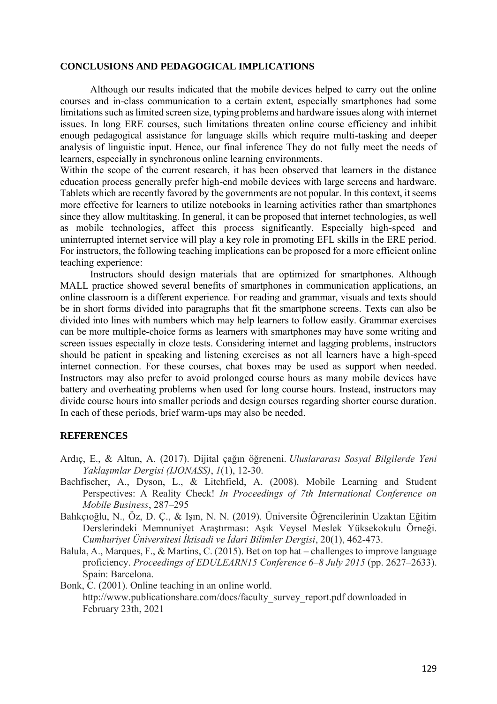## **CONCLUSIONS AND PEDAGOGICAL IMPLICATIONS**

Although our results indicated that the mobile devices helped to carry out the online courses and in-class communication to a certain extent, especially smartphones had some limitations such as limited screen size, typing problems and hardware issues along with internet issues. In long ERE courses, such limitations threaten online course efficiency and inhibit enough pedagogical assistance for language skills which require multi-tasking and deeper analysis of linguistic input. Hence, our final inference They do not fully meet the needs of learners, especially in synchronous online learning environments.

Within the scope of the current research, it has been observed that learners in the distance education process generally prefer high-end mobile devices with large screens and hardware. Tablets which are recently favored by the governments are not popular. In this context, it seems more effective for learners to utilize notebooks in learning activities rather than smartphones since they allow multitasking. In general, it can be proposed that internet technologies, as well as mobile technologies, affect this process significantly. Especially high-speed and uninterrupted internet service will play a key role in promoting EFL skills in the ERE period. For instructors, the following teaching implications can be proposed for a more efficient online teaching experience:

Instructors should design materials that are optimized for smartphones. Although MALL practice showed several benefits of smartphones in communication applications, an online classroom is a different experience. For reading and grammar, visuals and texts should be in short forms divided into paragraphs that fit the smartphone screens. Texts can also be divided into lines with numbers which may help learners to follow easily. Grammar exercises can be more multiple-choice forms as learners with smartphones may have some writing and screen issues especially in cloze tests. Considering internet and lagging problems, instructors should be patient in speaking and listening exercises as not all learners have a high-speed internet connection. For these courses, chat boxes may be used as support when needed. Instructors may also prefer to avoid prolonged course hours as many mobile devices have battery and overheating problems when used for long course hours. Instead, instructors may divide course hours into smaller periods and design courses regarding shorter course duration. In each of these periods, brief warm-ups may also be needed.

## **REFERENCES**

- Ardıç, E., & Altun, A. (2017). Dijital çağın öğreneni. *Uluslararası Sosyal Bilgilerde Yeni Yaklaşımlar Dergisi (IJONASS)*, *1*(1), 12-30.
- Bachfischer, A., Dyson, L., & Litchfield, A. (2008). Mobile Learning and Student Perspectives: A Reality Check! *In Proceedings of 7th International Conference on Mobile Business*, 287–295
- Balıkçıoğlu, N., Öz, D. Ç., & Işın, N. N. (2019). Üniversite Öğrencilerinin Uzaktan Eğitim Derslerindeki Memnuniyet Araştırması: Aşık Veysel Meslek Yüksekokulu Örneği. C*umhuriyet Üniversitesi İktisadi ve İdari Bilimler Dergisi*, 20(1), 462-473.
- Balula, A., Marques, F., & Martins, C. (2015). Bet on top hat challenges to improve language proficiency. *Proceedings of EDULEARN15 Conference 6–8 July 2015* (pp. 2627–2633). Spain: Barcelona.
- Bonk, C. (2001). Online teaching in an online world. http://www.publicationshare.com/docs/faculty\_survey\_report.pdf downloaded in February 23th, 2021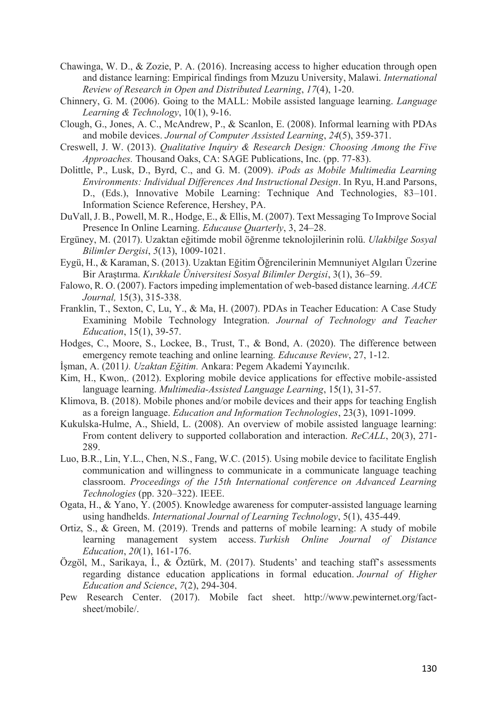- Chawinga, W. D., & Zozie, P. A. (2016). Increasing access to higher education through open and distance learning: Empirical findings from Mzuzu University, Malawi. *International Review of Research in Open and Distributed Learning*, *17*(4), 1-20.
- Chinnery, G. M. (2006). Going to the MALL: Mobile assisted language learning. *Language Learning & Technology*, 10(1), 9-16.
- Clough, G., Jones, A. C., McAndrew, P., & Scanlon, E. (2008). Informal learning with PDAs and mobile devices. *Journal of Computer Assisted Learning*, *24*(5), 359-371.
- Creswell, J. W. (2013). *Qualitative Inquiry & Research Design: Choosing Among the Five Approaches.* Thousand Oaks, CA: SAGE Publications, Inc. (pp. 77-83).
- Dolittle, P., Lusk, D., Byrd, C., and G. M. (2009). *iPods as Mobile Multimedia Learning Environments: Individual Differences And Instructional Design*. In Ryu, H.and Parsons, D., (Eds.), Innovative Mobile Learning: Technique And Technologies, 83–101. Information Science Reference, Hershey, PA.
- DuVall, J. B., Powell, M. R., Hodge, E., & Ellis, M. (2007). Text Messaging To Improve Social Presence In Online Learning. *Educause Quarterly*, 3, 24–28.
- Ergüney, M. (2017). Uzaktan eğitimde mobil öğrenme teknolojilerinin rolü. *Ulakbilge Sosyal Bilimler Dergisi*, *5*(13), 1009-1021.
- Eygü, H., & Karaman, S. (2013). Uzaktan Eğitim Öğrencilerinin Memnuniyet Algıları Üzerine Bir Araştırma. *Kırıkkale Üniversitesi Sosyal Bilimler Dergisi*, 3(1), 36–59.
- Falowo, R. O. (2007). Factors impeding implementation of web-based distance learning. *AACE Journal,* 15(3), 315-338.
- Franklin, T., Sexton, C, Lu, Y., & Ma, H. (2007). PDAs in Teacher Education: A Case Study Examining Mobile Technology Integration. *Journal of Technology and Teacher Education*, 15(1), 39-57.
- Hodges, C., Moore, S., Lockee, B., Trust, T., & Bond, A. (2020). The difference between emergency remote teaching and online learning*. Educause Review*, 27, 1-12.
- İşman, A. (2011*). Uzaktan Eğitim.* Ankara: Pegem Akademi Yayıncılık.
- Kim, H., Kwon,. (2012). Exploring mobile device applications for effective mobile-assisted language learning. *Multimedia-Assisted Language Learning*, 15(1), 31-57.
- Klimova, B. (2018). Mobile phones and/or mobile devices and their apps for teaching English as a foreign language. *Education and Information Technologies*, 23(3), 1091-1099.
- Kukulska-Hulme, A., Shield, L. (2008). An overview of mobile assisted language learning: From content delivery to supported collaboration and interaction. *ReCALL*, 20(3), 271- 289.
- Luo, B.R., Lin, Y.L., Chen, N.S., Fang, W.C. (2015). Using mobile device to facilitate English communication and willingness to communicate in a communicate language teaching classroom. *Proceedings of the 15th International conference on Advanced Learning Technologies* (pp. 320–322). IEEE.
- Ogata, H., & Yano, Y. (2005). Knowledge awareness for computer-assisted language learning using handhelds. *International Journal of Learning Technology*, 5(1), 435-449.
- Ortiz, S., & Green, M. (2019). Trends and patterns of mobile learning: A study of mobile learning management system access. *Turkish Online Journal of Distance Education*, *20*(1), 161-176.
- Özgöl, M., Sarikaya, İ., & Öztürk, M. (2017). Students' and teaching staff's assessments regarding distance education applications in formal education. *Journal of Higher Education and Science*, *7*(2), 294-304.
- Pew Research Center. (2017). Mobile fact sheet. http://www.pewinternet.org/factsheet/mobile/.